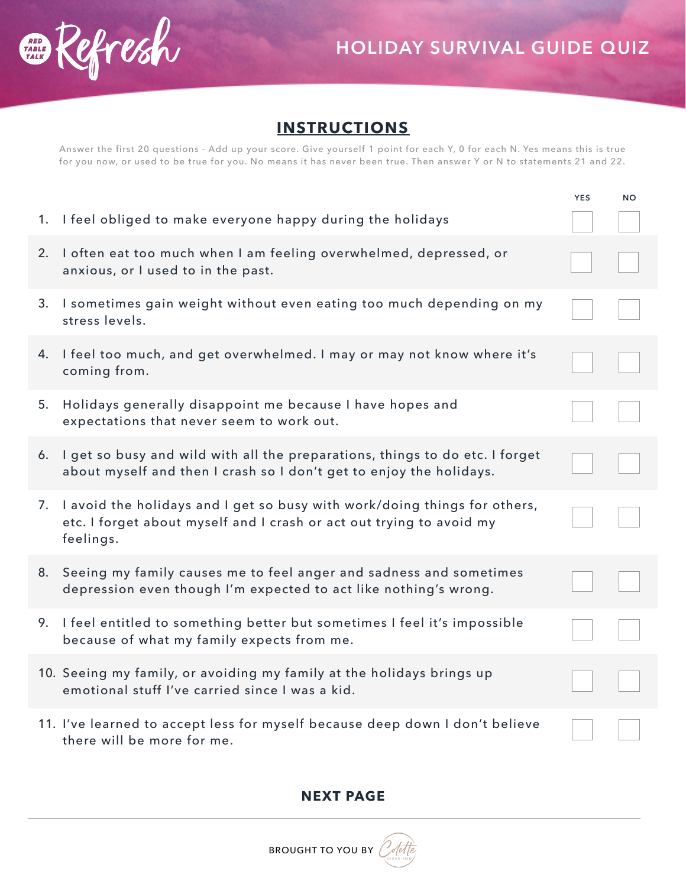

## **INSTRUCTIONS**

Answer the first 20 questions - Add up your score. Give yourself 1 point for each Y, 0 for each N. Yes means this is true for you now, or used to be true for you. No means it has never been true. Then answer Y or N to statements 21 and 22.

|    |                                                                                                                                                                   | YES | <b>NO</b> |
|----|-------------------------------------------------------------------------------------------------------------------------------------------------------------------|-----|-----------|
|    | 1. I feel obliged to make everyone happy during the holidays                                                                                                      |     |           |
| 2. | I often eat too much when I am feeling overwhelmed, depressed, or<br>anxious, or I used to in the past.                                                           |     |           |
|    | 3. I sometimes gain weight without even eating too much depending on my<br>stress levels.                                                                         |     |           |
| 4. | I feel too much, and get overwhelmed. I may or may not know where it's<br>coming from.                                                                            |     |           |
| 5. | Holidays generally disappoint me because I have hopes and<br>expectations that never seem to work out.                                                            |     |           |
| 6. | I get so busy and wild with all the preparations, things to do etc. I forget<br>about myself and then I crash so I don't get to enjoy the holidays.               |     |           |
|    | 7. I avoid the holidays and I get so busy with work/doing things for others,<br>etc. I forget about myself and I crash or act out trying to avoid my<br>feelings. |     |           |
|    | 8. Seeing my family causes me to feel anger and sadness and sometimes<br>depression even though I'm expected to act like nothing's wrong.                         |     |           |
| 9. | I feel entitled to something better but sometimes I feel it's impossible<br>because of what my family expects from me.                                            |     |           |
|    | 10. Seeing my family, or avoiding my family at the holidays brings up<br>emotional stuff I've carried since I was a kid.                                          |     |           |
|    | 11. I've learned to accept less for myself because deep down I don't believe<br>there will be more for me.                                                        |     |           |

**NEXT PAGE**

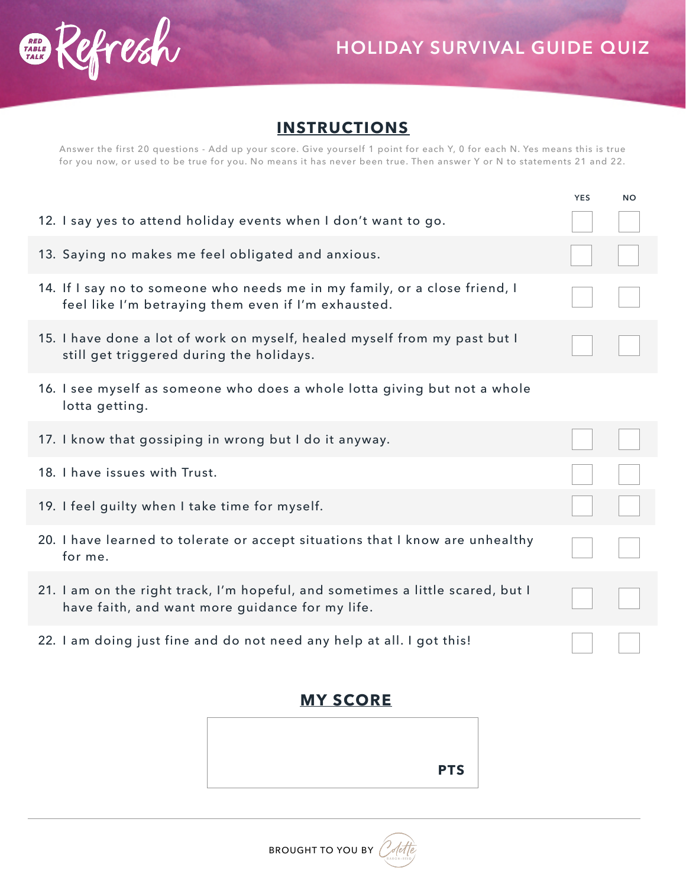

## **INSTRUCTIONS**

Answer the first 20 questions - Add up your score. Give yourself 1 point for each Y, 0 for each N. Yes means this is true for you now, or used to be true for you. No means it has never been true. Then answer Y or N to statements 21 and 22.

|                                                                                                                                   | YES | <b>NO</b> |
|-----------------------------------------------------------------------------------------------------------------------------------|-----|-----------|
| 12. I say yes to attend holiday events when I don't want to go.                                                                   |     |           |
| 13. Saying no makes me feel obligated and anxious.                                                                                |     |           |
| 14. If I say no to someone who needs me in my family, or a close friend, I<br>feel like I'm betraying them even if I'm exhausted. |     |           |
| 15. I have done a lot of work on myself, healed myself from my past but I<br>still get triggered during the holidays.             |     |           |
| 16. I see myself as someone who does a whole lotta giving but not a whole<br>lotta getting.                                       |     |           |
| 17. I know that gossiping in wrong but I do it anyway.                                                                            |     |           |
| 18. I have issues with Trust.                                                                                                     |     |           |
| 19. I feel guilty when I take time for myself.                                                                                    |     |           |
| 20. I have learned to tolerate or accept situations that I know are unhealthy<br>for me.                                          |     |           |
| 21. I am on the right track, I'm hopeful, and sometimes a little scared, but I<br>have faith, and want more guidance for my life. |     |           |
| 22. I am doing just fine and do not need any help at all. I got this!                                                             |     |           |

## **MY SCORE**